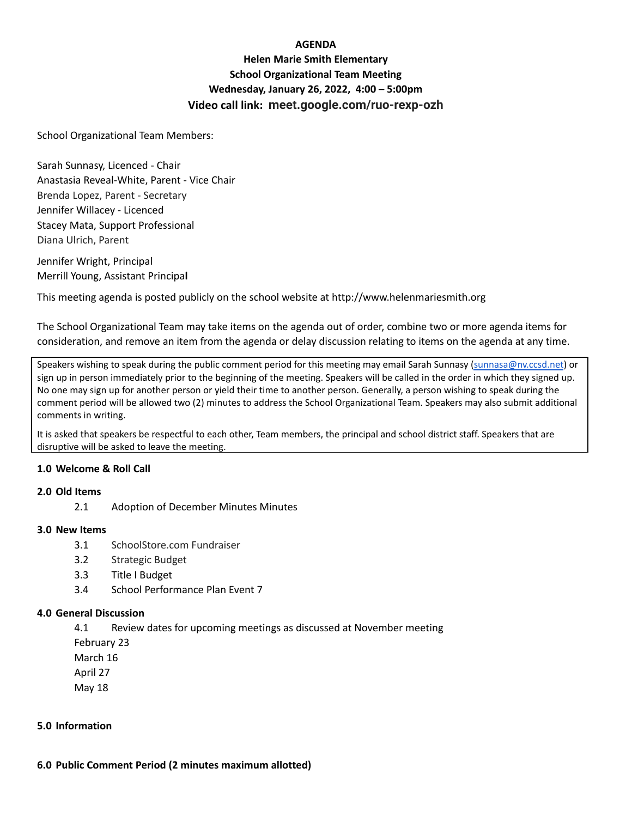### **AGENDA**

# **Helen Marie Smith Elementary School Organizational Team Meeting Wednesday, January 26, 2022, 4:00 – 5:00pm Video call link: meet.google.com/ruo-rexp-ozh**

School Organizational Team Members:

Sarah Sunnasy, Licenced - Chair Anastasia Reveal-White, Parent - Vice Chair Brenda Lopez, Parent - Secretary Jennifer Willacey - Licenced Stacey Mata, Support Professional Diana Ulrich, Parent

Jennifer Wright, Principal Merrill Young, Assistant Principa**l**

This meeting agenda is posted publicly on the school website at http://www.helenmariesmith.org

The School Organizational Team may take items on the agenda out of order, combine two or more agenda items for consideration, and remove an item from the agenda or delay discussion relating to items on the agenda at any time.

Speakers wishing to speak during the public comment period for this meeting may email Sarah Sunnasy [\(sunnasa@nv.ccsd.net](mailto:sunnasa@nv.ccsd.net)) or sign up in person immediately prior to the beginning of the meeting. Speakers will be called in the order in which they signed up. No one may sign up for another person or yield their time to another person. Generally, a person wishing to speak during the comment period will be allowed two (2) minutes to address the School Organizational Team. Speakers may also submit additional comments in writing.

It is asked that speakers be respectful to each other, Team members, the principal and school district staff. Speakers that are disruptive will be asked to leave the meeting.

#### **1.0 Welcome & Roll Call**

#### **2.0 Old Items**

2.1 Adoption of December Minutes Minutes

#### **3.0 New Items**

- 3.1 SchoolStore.com Fundraiser
- 3.2 Strategic Budget
- 3.3 Title I Budget
- 3.4 School Performance Plan Event 7

#### **4.0 General Discussion**

4.1 Review dates for upcoming meetings as discussed at November meeting

February 23

March 16

April 27

May 18

## **5.0 Information**